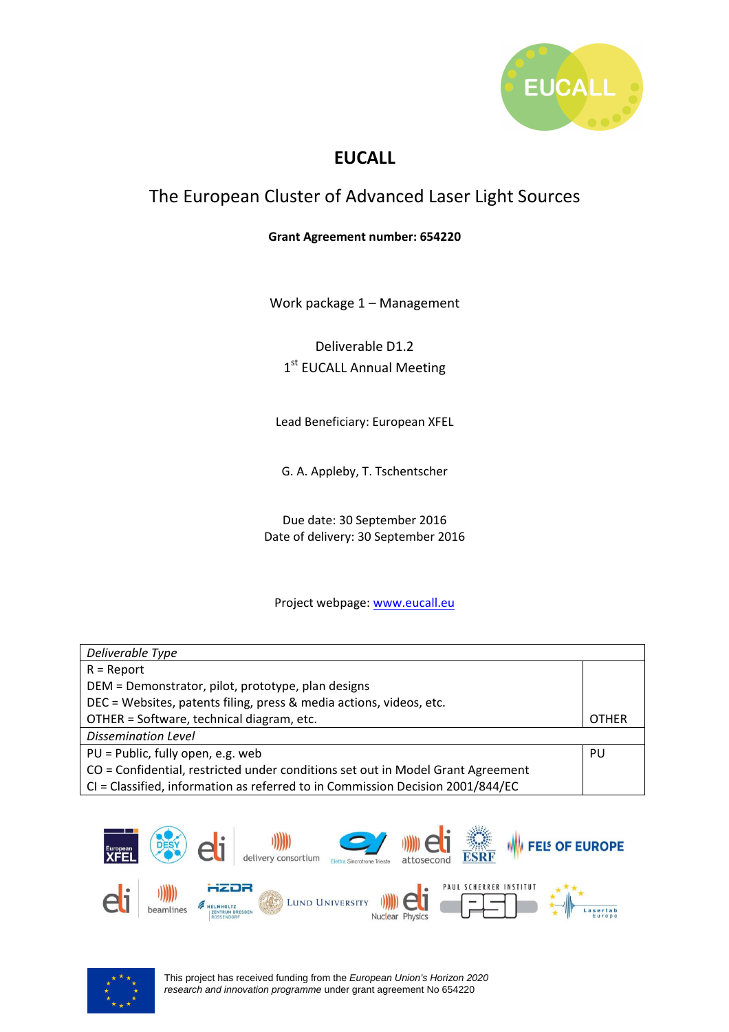

# **EUCALL**

# The European Cluster of Advanced Laser Light Sources

#### **Grant Agreement number: 654220**

Work package 1 – Management

Deliverable D1.2

1st EUCALL Annual Meeting

Lead Beneficiary: European XFEL

G. A. Appleby, T. Tschentscher

Due date: 30 September 2016 Date of delivery: 30 September 2016

#### Project webpage: www.eucall.eu

| Deliverable Type                                                                |              |  |
|---------------------------------------------------------------------------------|--------------|--|
| $R =$ Report                                                                    |              |  |
| DEM = Demonstrator, pilot, prototype, plan designs                              |              |  |
| DEC = Websites, patents filing, press & media actions, videos, etc.             |              |  |
| OTHER = Software, technical diagram, etc.                                       | <b>OTHER</b> |  |
| <b>Dissemination Level</b>                                                      |              |  |
| PU = Public, fully open, e.g. web                                               | PU           |  |
| CO = Confidential, restricted under conditions set out in Model Grant Agreement |              |  |
| CI = Classified, information as referred to in Commission Decision 2001/844/EC  |              |  |



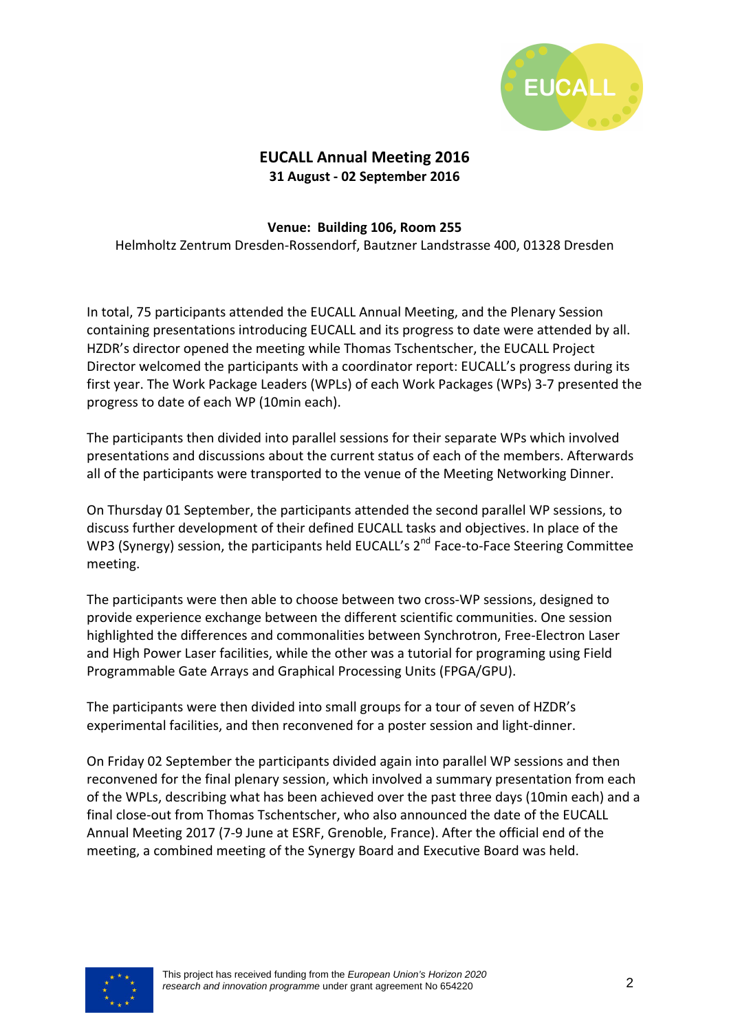

## **EUCALL Annual Meeting 2016 31 August - 02 September 2016**

#### **Venue: Building 106, Room 255**

Helmholtz Zentrum Dresden-Rossendorf, Bautzner Landstrasse 400, 01328 Dresden

In total, 75 participants attended the EUCALL Annual Meeting, and the Plenary Session containing presentations introducing EUCALL and its progress to date were attended by all. HZDR's director opened the meeting while Thomas Tschentscher, the EUCALL Project Director welcomed the participants with a coordinator report: EUCALL's progress during its first year. The Work Package Leaders (WPLs) of each Work Packages (WPs) 3-7 presented the progress to date of each WP (10min each).

The participants then divided into parallel sessions for their separate WPs which involved presentations and discussions about the current status of each of the members. Afterwards all of the participants were transported to the venue of the Meeting Networking Dinner.

On Thursday 01 September, the participants attended the second parallel WP sessions, to discuss further development of their defined EUCALL tasks and objectives. In place of the WP3 (Synergy) session, the participants held EUCALL's 2<sup>nd</sup> Face-to-Face Steering Committee meeting.

The participants were then able to choose between two cross-WP sessions, designed to provide experience exchange between the different scientific communities. One session highlighted the differences and commonalities between Synchrotron, Free-Electron Laser and High Power Laser facilities, while the other was a tutorial for programing using Field Programmable Gate Arrays and Graphical Processing Units (FPGA/GPU).

The participants were then divided into small groups for a tour of seven of HZDR's experimental facilities, and then reconvened for a poster session and light-dinner.

On Friday 02 September the participants divided again into parallel WP sessions and then reconvened for the final plenary session, which involved a summary presentation from each of the WPLs, describing what has been achieved over the past three days (10min each) and a final close-out from Thomas Tschentscher, who also announced the date of the EUCALL Annual Meeting 2017 (7-9 June at ESRF, Grenoble, France). After the official end of the meeting, a combined meeting of the Synergy Board and Executive Board was held.

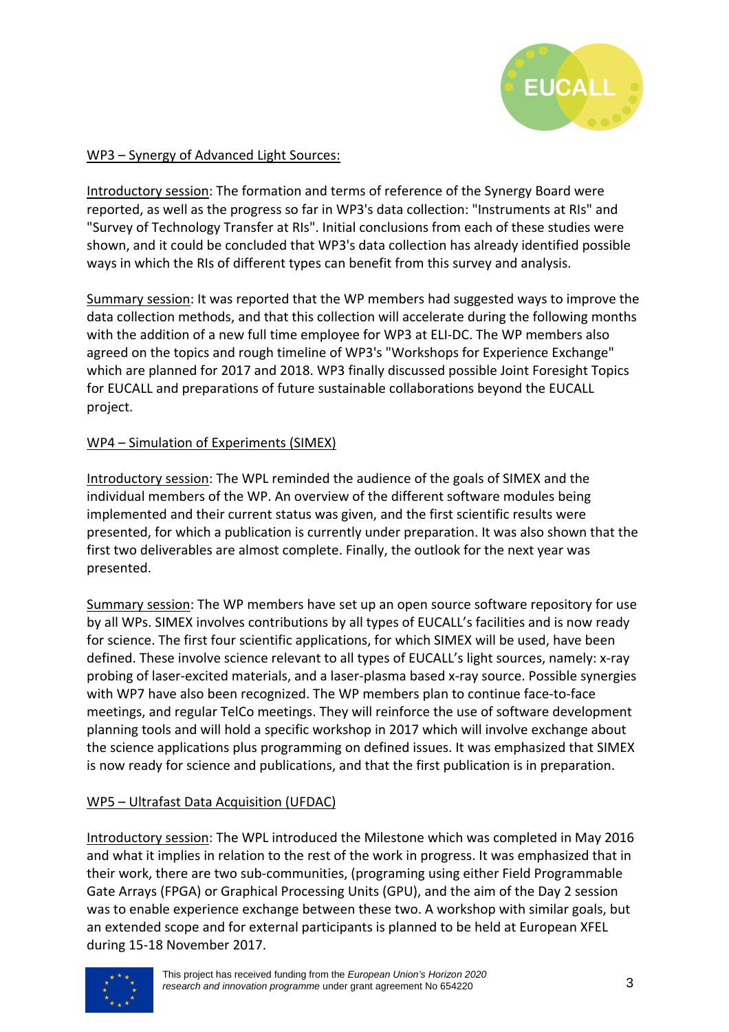

#### WP3 – Synergy of Advanced Light Sources:

Introductory session: The formation and terms of reference of the Synergy Board were reported, as well as the progress so far in WP3's data collection: "Instruments at RIs" and "Survey of Technology Transfer at RIs". Initial conclusions from each of these studies were shown, and it could be concluded that WP3's data collection has already identified possible ways in which the RIs of different types can benefit from this survey and analysis.

Summary session: It was reported that the WP members had suggested ways to improve the data collection methods, and that this collection will accelerate during the following months with the addition of a new full time employee for WP3 at ELI-DC. The WP members also agreed on the topics and rough timeline of WP3's "Workshops for Experience Exchange" which are planned for 2017 and 2018. WP3 finally discussed possible Joint Foresight Topics for EUCALL and preparations of future sustainable collaborations beyond the EUCALL project.

#### WP4 – Simulation of Experiments (SIMEX)

Introductory session: The WPL reminded the audience of the goals of SIMEX and the individual members of the WP. An overview of the different software modules being implemented and their current status was given, and the first scientific results were presented, for which a publication is currently under preparation. It was also shown that the first two deliverables are almost complete. Finally, the outlook for the next year was presented.

Summary session: The WP members have set up an open source software repository for use by all WPs. SIMEX involves contributions by all types of EUCALL's facilities and is now ready for science. The first four scientific applications, for which SIMEX will be used, have been defined. These involve science relevant to all types of EUCALL's light sources, namely: x-ray probing of laser-excited materials, and a laser-plasma based x-ray source. Possible synergies with WP7 have also been recognized. The WP members plan to continue face-to-face meetings, and regular TelCo meetings. They will reinforce the use of software development planning tools and will hold a specific workshop in 2017 which will involve exchange about the science applications plus programming on defined issues. It was emphasized that SIMEX is now ready for science and publications, and that the first publication is in preparation.

#### WP5 – Ultrafast Data Acquisition (UFDAC)

Introductory session: The WPL introduced the Milestone which was completed in May 2016 and what it implies in relation to the rest of the work in progress. It was emphasized that in their work, there are two sub-communities, (programing using either Field Programmable Gate Arrays (FPGA) or Graphical Processing Units (GPU), and the aim of the Day 2 session was to enable experience exchange between these two. A workshop with similar goals, but an extended scope and for external participants is planned to be held at European XFEL during 15-18 November 2017.

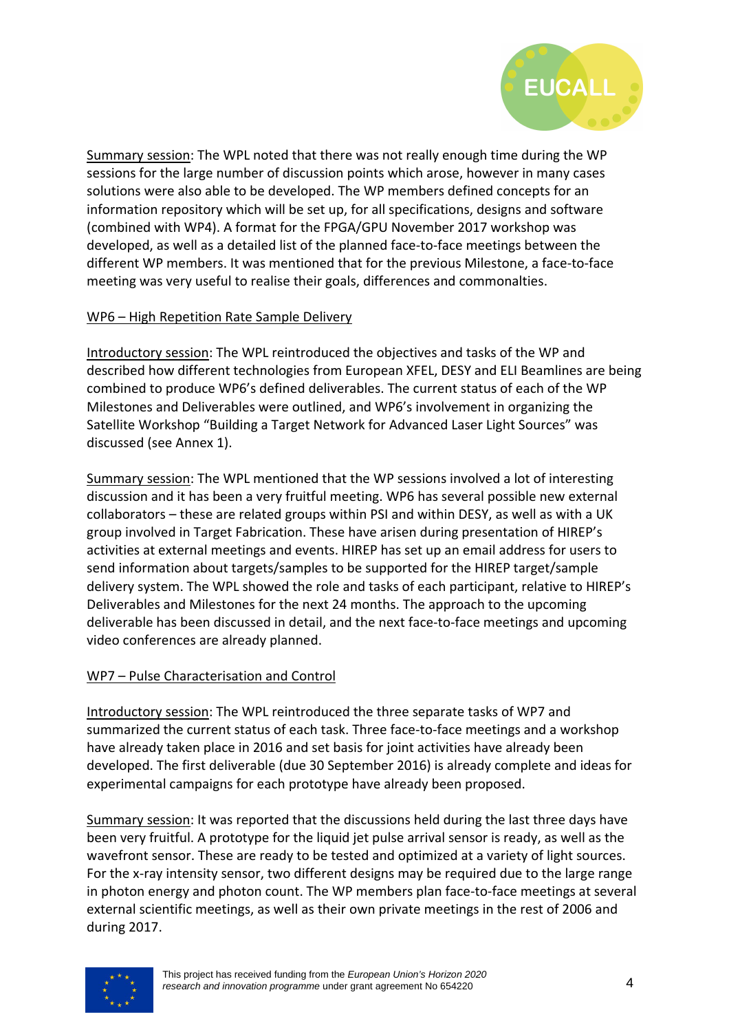

Summary session: The WPL noted that there was not really enough time during the WP sessions for the large number of discussion points which arose, however in many cases solutions were also able to be developed. The WP members defined concepts for an information repository which will be set up, for all specifications, designs and software (combined with WP4). A format for the FPGA/GPU November 2017 workshop was developed, as well as a detailed list of the planned face-to-face meetings between the different WP members. It was mentioned that for the previous Milestone, a face-to-face meeting was very useful to realise their goals, differences and commonalties.

#### WP6 – High Repetition Rate Sample Delivery

Introductory session: The WPL reintroduced the objectives and tasks of the WP and described how different technologies from European XFEL, DESY and ELI Beamlines are being combined to produce WP6's defined deliverables. The current status of each of the WP Milestones and Deliverables were outlined, and WP6's involvement in organizing the Satellite Workshop "Building a Target Network for Advanced Laser Light Sources" was discussed (see Annex 1).

Summary session: The WPL mentioned that the WP sessions involved a lot of interesting discussion and it has been a very fruitful meeting. WP6 has several possible new external collaborators – these are related groups within PSI and within DESY, as well as with a UK group involved in Target Fabrication. These have arisen during presentation of HIREP's activities at external meetings and events. HIREP has set up an email address for users to send information about targets/samples to be supported for the HIREP target/sample delivery system. The WPL showed the role and tasks of each participant, relative to HIREP's Deliverables and Milestones for the next 24 months. The approach to the upcoming deliverable has been discussed in detail, and the next face-to-face meetings and upcoming video conferences are already planned.

#### WP7 – Pulse Characterisation and Control

Introductory session: The WPL reintroduced the three separate tasks of WP7 and summarized the current status of each task. Three face-to-face meetings and a workshop have already taken place in 2016 and set basis for joint activities have already been developed. The first deliverable (due 30 September 2016) is already complete and ideas for experimental campaigns for each prototype have already been proposed.

Summary session: It was reported that the discussions held during the last three days have been very fruitful. A prototype for the liquid jet pulse arrival sensor is ready, as well as the wavefront sensor. These are ready to be tested and optimized at a variety of light sources. For the x-ray intensity sensor, two different designs may be required due to the large range in photon energy and photon count. The WP members plan face-to-face meetings at several external scientific meetings, as well as their own private meetings in the rest of 2006 and during 2017.

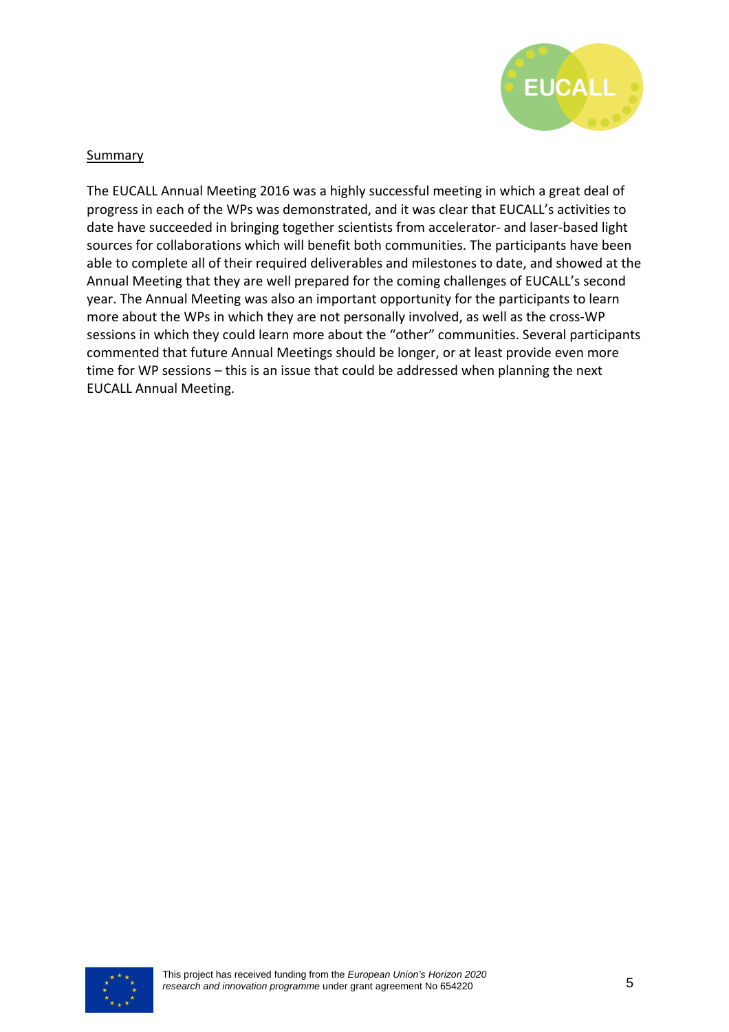

#### Summary

The EUCALL Annual Meeting 2016 was a highly successful meeting in which a great deal of progress in each of the WPs was demonstrated, and it was clear that EUCALL's activities to date have succeeded in bringing together scientists from accelerator- and laser-based light sources for collaborations which will benefit both communities. The participants have been able to complete all of their required deliverables and milestones to date, and showed at the Annual Meeting that they are well prepared for the coming challenges of EUCALL's second year. The Annual Meeting was also an important opportunity for the participants to learn more about the WPs in which they are not personally involved, as well as the cross-WP sessions in which they could learn more about the "other" communities. Several participants commented that future Annual Meetings should be longer, or at least provide even more time for WP sessions – this is an issue that could be addressed when planning the next EUCALL Annual Meeting.

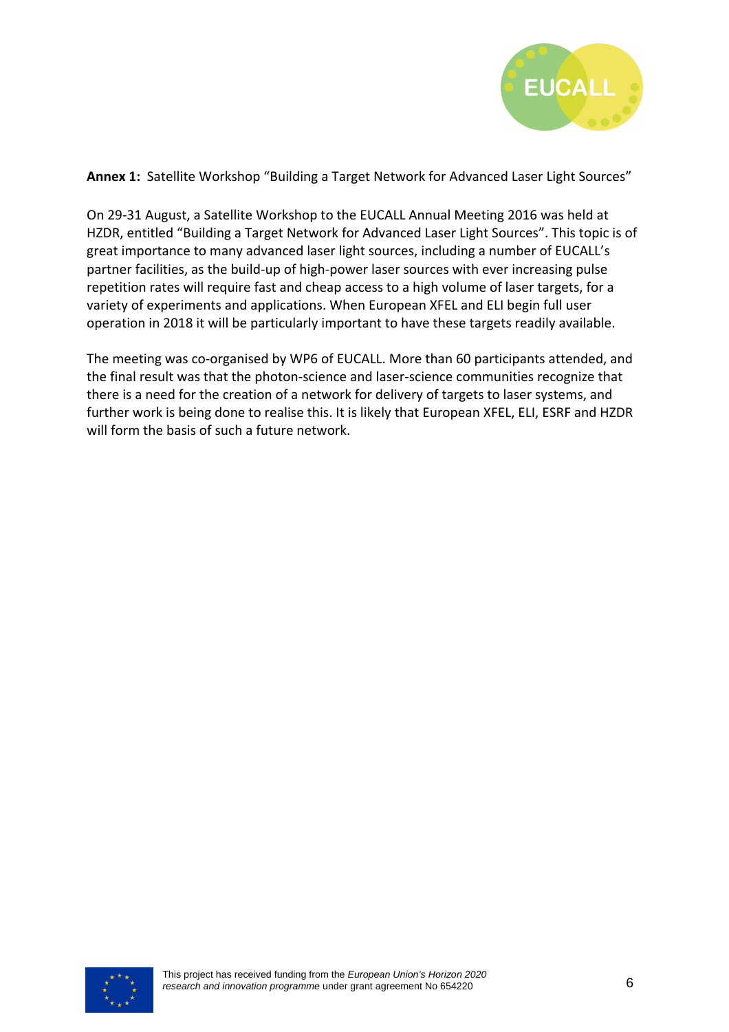

**Annex 1:** Satellite Workshop "Building a Target Network for Advanced Laser Light Sources"

On 29-31 August, a Satellite Workshop to the EUCALL Annual Meeting 2016 was held at HZDR, entitled "Building a Target Network for Advanced Laser Light Sources". This topic is of great importance to many advanced laser light sources, including a number of EUCALL's partner facilities, as the build-up of high-power laser sources with ever increasing pulse repetition rates will require fast and cheap access to a high volume of laser targets, for a variety of experiments and applications. When European XFEL and ELI begin full user operation in 2018 it will be particularly important to have these targets readily available.

The meeting was co-organised by WP6 of EUCALL. More than 60 participants attended, and the final result was that the photon-science and laser-science communities recognize that there is a need for the creation of a network for delivery of targets to laser systems, and further work is being done to realise this. It is likely that European XFEL, ELI, ESRF and HZDR will form the basis of such a future network.

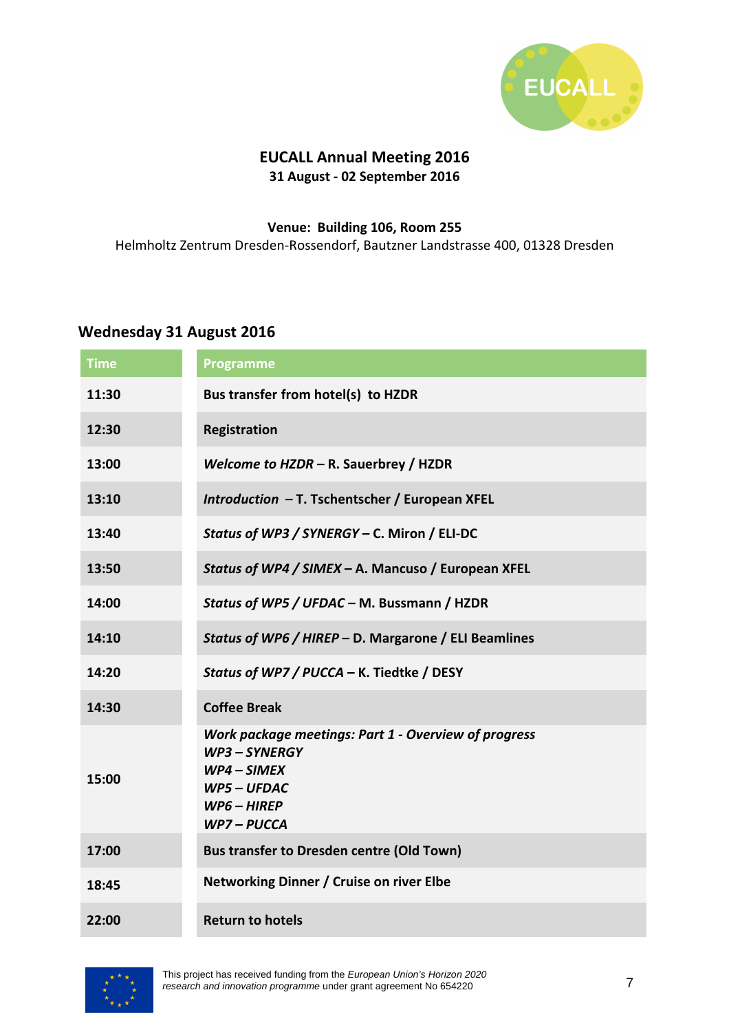

## **EUCALL Annual Meeting 2016 31 August - 02 September 2016**

#### **Venue: Building 106, Room 255**  Helmholtz Zentrum Dresden-Rossendorf, Bautzner Landstrasse 400, 01328 Dresden

### **Wednesday 31 August 2016**

| <b>Time</b> | <b>Programme</b>                                                                                                                |
|-------------|---------------------------------------------------------------------------------------------------------------------------------|
| 11:30       | Bus transfer from hotel(s) to HZDR                                                                                              |
| 12:30       | <b>Registration</b>                                                                                                             |
| 13:00       | Welcome to HZDR - R. Sauerbrey / HZDR                                                                                           |
| 13:10       | Introduction - T. Tschentscher / European XFEL                                                                                  |
| 13:40       | Status of WP3 / SYNERGY - C. Miron / ELI-DC                                                                                     |
| 13:50       | Status of WP4 / SIMEX - A. Mancuso / European XFEL                                                                              |
| 14:00       | Status of WP5 / UFDAC - M. Bussmann / HZDR                                                                                      |
| 14:10       | Status of WP6 / HIREP - D. Margarone / ELI Beamlines                                                                            |
| 14:20       | Status of WP7 / PUCCA - K. Tiedtke / DESY                                                                                       |
| 14:30       | <b>Coffee Break</b>                                                                                                             |
| 15:00       | Work package meetings: Part 1 - Overview of progress<br>WP3-SYNERGY<br>$WP4-SIMEX$<br>WP5 - UFDAC<br>$WPG - HIREP$<br>WP7-PUCCA |
| 17:00       | <b>Bus transfer to Dresden centre (Old Town)</b>                                                                                |
| 18:45       | Networking Dinner / Cruise on river Elbe                                                                                        |
| 22:00       | <b>Return to hotels</b>                                                                                                         |



This project has received funding from the European Union's Horizon 2020 research and innovation programme under grant agreement No 654220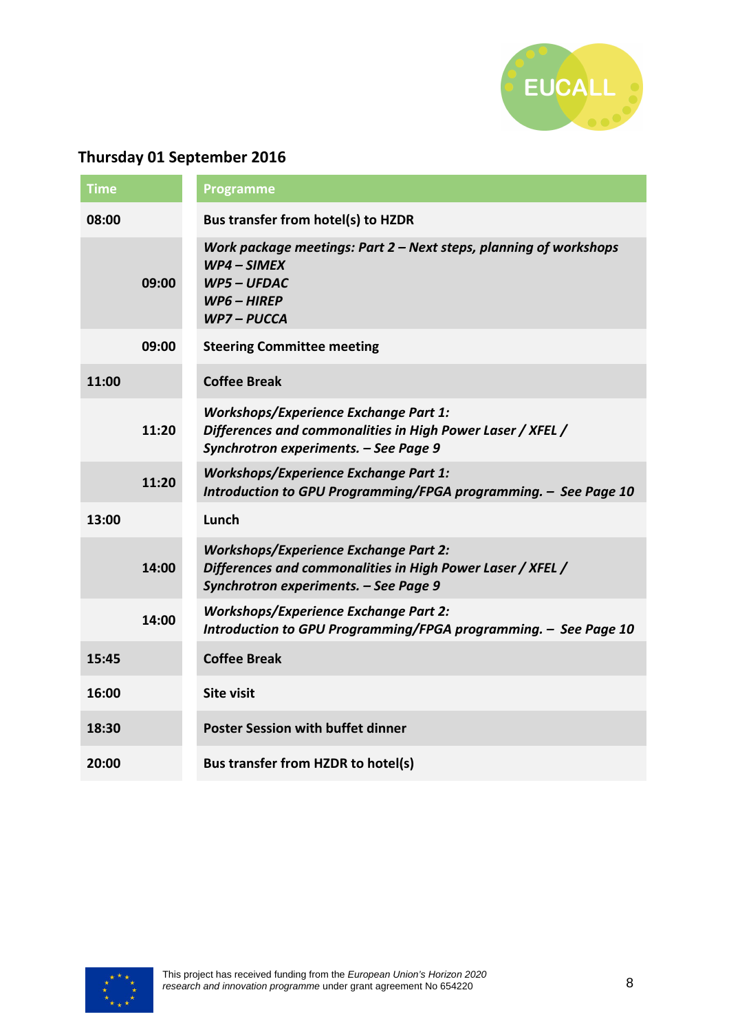

# **Thursday 01 September 2016**

| <b>Time</b> |       | <b>Programme</b>                                                                                                                                    |
|-------------|-------|-----------------------------------------------------------------------------------------------------------------------------------------------------|
| 08:00       |       | <b>Bus transfer from hotel(s) to HZDR</b>                                                                                                           |
|             | 09:00 | Work package meetings: Part $2$ – Next steps, planning of workshops<br>$WP4-SIMEX$<br><b>WP5-UFDAC</b><br>$WP6 - HIREP$<br>WP7-PUCCA                |
|             | 09:00 | <b>Steering Committee meeting</b>                                                                                                                   |
| 11:00       |       | <b>Coffee Break</b>                                                                                                                                 |
|             | 11:20 | <b>Workshops/Experience Exchange Part 1:</b><br>Differences and commonalities in High Power Laser / XFEL /<br>Synchrotron experiments. - See Page 9 |
|             | 11:20 | <b>Workshops/Experience Exchange Part 1:</b><br>Introduction to GPU Programming/FPGA programming. - See Page 10                                     |
| 13:00       |       | Lunch                                                                                                                                               |
|             | 14:00 | <b>Workshops/Experience Exchange Part 2:</b><br>Differences and commonalities in High Power Laser / XFEL /<br>Synchrotron experiments. - See Page 9 |
|             | 14:00 | <b>Workshops/Experience Exchange Part 2:</b><br>Introduction to GPU Programming/FPGA programming. - See Page 10                                     |
| 15:45       |       | <b>Coffee Break</b>                                                                                                                                 |
| 16:00       |       | <b>Site visit</b>                                                                                                                                   |
| 18:30       |       | <b>Poster Session with buffet dinner</b>                                                                                                            |
| 20:00       |       | Bus transfer from HZDR to hotel(s)                                                                                                                  |

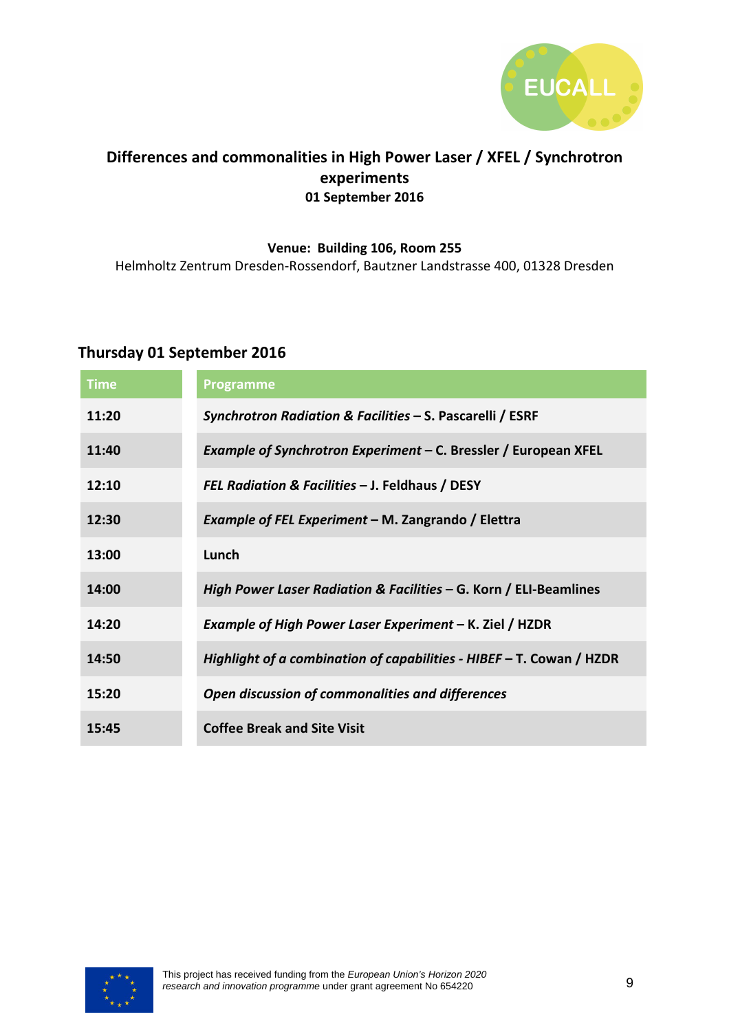

# **Differences and commonalities in High Power Laser / XFEL / Synchrotron experiments 01 September 2016**

#### **Venue: Building 106, Room 255**

Helmholtz Zentrum Dresden-Rossendorf, Bautzner Landstrasse 400, 01328 Dresden

# **Thursday 01 September 2016**

| <b>Time</b> | <b>Programme</b>                                                       |
|-------------|------------------------------------------------------------------------|
| 11:20       | Synchrotron Radiation & Facilities - S. Pascarelli / ESRF              |
| 11:40       | Example of Synchrotron Experiment – C. Bressler / European XFEL        |
| 12:10       | FEL Radiation & Facilities - J. Feldhaus / DESY                        |
| 12:30       | Example of FEL Experiment – M. Zangrando / Elettra                     |
| 13:00       | Lunch                                                                  |
| 14:00       | High Power Laser Radiation & Facilities – G. Korn / ELI-Beamlines      |
| 14:20       | Example of High Power Laser Experiment – K. Ziel / HZDR                |
| 14:50       | Highlight of a combination of capabilities - HIBEF $-$ T. Cowan / HZDR |
| 15:20       | Open discussion of commonalities and differences                       |
| 15:45       | <b>Coffee Break and Site Visit</b>                                     |

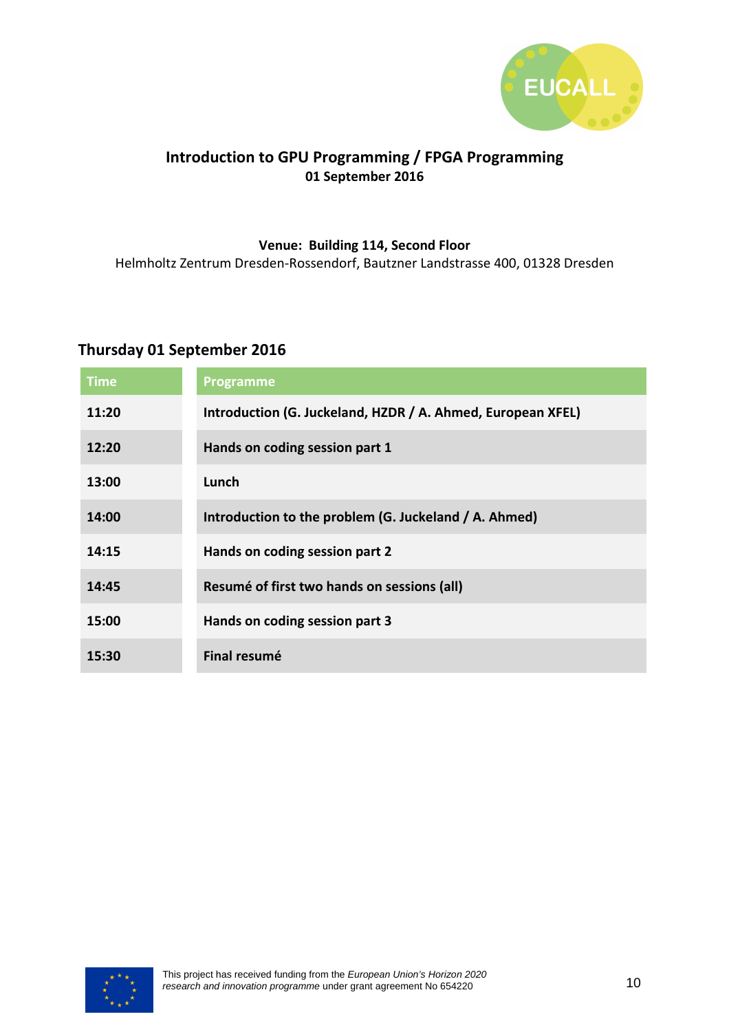

## **Introduction to GPU Programming / FPGA Programming 01 September 2016**

#### **Venue: Building 114, Second Floor**

Helmholtz Zentrum Dresden-Rossendorf, Bautzner Landstrasse 400, 01328 Dresden

# **Thursday 01 September 2016**

| <b>Time</b> | <b>Programme</b>                                            |
|-------------|-------------------------------------------------------------|
| 11:20       | Introduction (G. Juckeland, HZDR / A. Ahmed, European XFEL) |
| 12:20       | Hands on coding session part 1                              |
| 13:00       | Lunch                                                       |
| 14:00       | Introduction to the problem (G. Juckeland / A. Ahmed)       |
| 14:15       | Hands on coding session part 2                              |
| 14:45       | Resumé of first two hands on sessions (all)                 |
| 15:00       | Hands on coding session part 3                              |
| 15:30       | <b>Final resumé</b>                                         |